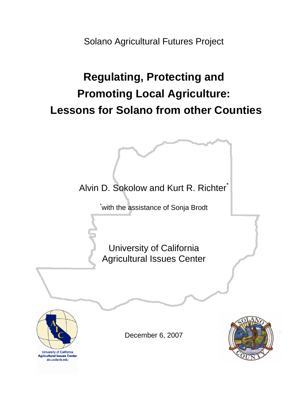Solano Agricultural Futures Project

# **Regulating, Protecting and Promoting Local Agriculture: Lessons for Solano from other Counties**

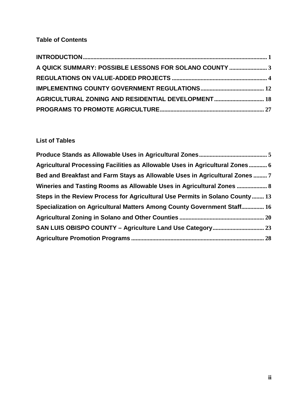# **Table of Contents**

| A QUICK SUMMARY: POSSIBLE LESSONS FOR SOLANO COUNTY  3 |  |
|--------------------------------------------------------|--|
|                                                        |  |
|                                                        |  |
| AGRICULTURAL ZONING AND RESIDENTIAL DEVELOPMENT 18     |  |
|                                                        |  |

# **List of Tables**

| Agricultural Processing Facilities as Allowable Uses in Agricultural Zones 6 |  |
|------------------------------------------------------------------------------|--|
| Bed and Breakfast and Farm Stays as Allowable Uses in Agricultural Zones  7  |  |
| Wineries and Tasting Rooms as Allowable Uses in Agricultural Zones  8        |  |
| Steps in the Review Process for Agricultural Use Permits in Solano County 13 |  |
| Specialization on Agricultural Matters Among County Government Staff 16      |  |
|                                                                              |  |
|                                                                              |  |
|                                                                              |  |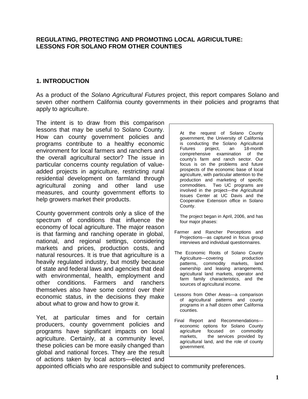#### **REGULATING, PROTECTING AND PROMOTING LOCAL AGRICULTURE: LESSONS FOR SOLANO FROM OTHER COUNTIES**

## <span id="page-2-0"></span>**1. INTRODUCTION**

As a product of the *Solano Agricultural Futures* project, this report compares Solano and seven other northern California county governments in their policies and programs that apply to agriculture.

The intent is to draw from this comparison lessons that may be useful to Solano County. How can county government policies and programs contribute to a healthy economic environment for local farmers and ranchers and the overall agricultural sector? The issue in particular concerns county regulation of valueadded projects in agriculture, restricting rural residential development on farmland through agricultural zoning and other land use measures, and county government efforts to help growers market their products.

County government controls only a slice of the spectrum of conditions that influence the economy of local agriculture. The major reason is that farming and ranching operate in global, national, and regional settings, considering markets and prices, production costs, and natural resources. It is true that agriculture is a heavily regulated industry, but mostly because of state and federal laws and agencies that deal with environmental, health, employment and other conditions. Farmers and ranchers themselves also have some control over their economic status, in the decisions they make about what to grow and how to grow it.

Yet, at particular times and for certain producers, county government policies and programs have significant impacts on local agriculture. Certainly, at a community level, these policies can be more easily changed than global and national forces. They are the result of actions taken by local actors—elected and

At the request of Solano County government, the University of California is conducting the Solano Agricultural Futures project, an 18-month comprehensive examination of the county's farm and ranch sector. Our focus is on the problems and future prospects of the economic base of local agriculture, with particular attention to the production and marketing of specific commodities. Two UC programs are involved in the project—the Agricultural Issues Center at UC Davis and the Cooperative Extension office in Solano County.

The project began in April, 2006, and has four major phases:

- Farmer and Rancher Perceptions and Projections—as captured in focus group interviews and individual questionnaires.
- The Economic Roots of Solano County Agriculture—covering production patterns, commodity markets, land ownership and leasing arrangements, agricultural land markets, operator and farm family characteristics, and the sources of agricultural income.
- Lessons from Other Areas—a comparison of agricultural patterns and county programs in a half dozen other California counties.
- Final Report and Recommendations economic options for Solano County agriculture focused on commodity markets, the services provided by agricultural land, and the role of county government.

appointed officials who are responsible and subject to community preferences.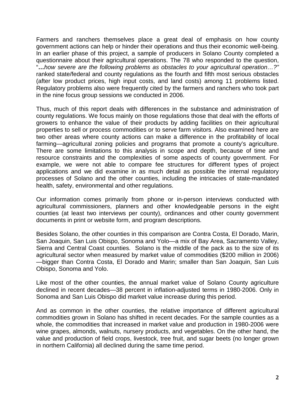Farmers and ranchers themselves place a great deal of emphasis on how county government actions can help or hinder their operations and thus their economic well-being. In an earlier phase of this project, a sample of producers in Solano County completed a questionnaire about their agricultural operations. The 78 who responded to the question, "**…***how severe are the following problems as obstacles to your agricultural operation…?"* ranked state/federal and county regulations as the fourth and fifth most serious obstacles (after low product prices, high input costs, and land costs) among 11 problems listed. Regulatory problems also were frequently cited by the farmers and ranchers who took part in the nine focus group sessions we conducted in 2006.

Thus, much of this report deals with differences in the substance and administration of county regulations. We focus mainly on those regulations those that deal with the efforts of growers to enhance the value of their products by adding facilities on their agricultural properties to sell or process commodities or to serve farm visitors. Also examined here are two other areas where county actions can make a difference in the profitability of local farming—agricultural zoning policies and programs that promote a county's agriculture. There are some limitations to this analysis in scope and depth, because of time and resource constraints and the complexities of some aspects of county government. For example, we were not able to compare fee structures for different types of project applications and we did examine in as much detail as possible the internal regulatory processes of Solano and the other counties, including the intricacies of state-mandated health, safety, environmental and other regulations.

Our information comes primarily from phone or in-person interviews conducted with agricultural commissioners, planners and other knowledgeable persons in the eight counties (at least two interviews per county), ordinances and other county government documents in print or website form, and program descriptions.

Besides Solano, the other counties in this comparison are Contra Costa, El Dorado, Marin, San Joaquin, San Luis Obispo, Sonoma and Yolo—a mix of Bay Area, Sacramento Valley, Sierra and Central Coast counties. Solano is the middle of the pack as to the size of its agricultural sector when measured by market value of commodities (\$200 million in 2006) —bigger than Contra Costa, El Dorado and Marin; smaller than San Joaquin, San Luis Obispo, Sonoma and Yolo.

Like most of the other counties, the annual market value of Solano County agriculture declined in recent decades—38 percent in inflation-adjusted terms in 1980-2006. Only in Sonoma and San Luis Obispo did market value increase during this period.

And as common in the other counties, the relative importance of different agricultural commodities grown in Solano has shifted in recent decades. For the sample counties as a whole, the commodities that increased in market value and production in 1980-2006 were wine grapes, almonds, walnuts, nursery products, and vegetables. On the other hand, the value and production of field crops, livestock, tree fruit, and sugar beets (no longer grown in northern California) all declined during the same time period.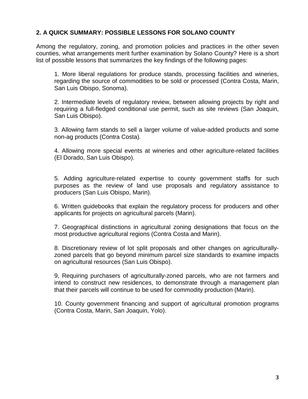## **2. A QUICK SUMMARY: POSSIBLE LESSONS FOR SOLANO COUNTY**

Among the regulatory, zoning, and promotion policies and practices in the other seven counties, what arrangements merit further examination by Solano County? Here is a short list of possible lessons that summarizes the key findings of the following pages:

<span id="page-4-0"></span>1. More liberal regulations for produce stands, processing facilities and wineries, regarding the source of commodities to be sold or processed (Contra Costa, Marin, San Luis Obispo, Sonoma).

2. Intermediate levels of regulatory review, between allowing projects by right and requiring a full-fledged conditional use permit, such as site reviews (San Joaquin, San Luis Obispo).

3. Allowing farm stands to sell a larger volume of value-added products and some non-ag products (Contra Costa).

4. Allowing more special events at wineries and other agriculture-related facilities (El Dorado, San Luis Obispo).

5. Adding agriculture-related expertise to county government staffs for such purposes as the review of land use proposals and regulatory assistance to producers (San Luis Obispo, Marin).

6. Written guidebooks that explain the regulatory process for producers and other applicants for projects on agricultural parcels (Marin).

7. Geographical distinctions in agricultural zoning designations that focus on the most productive agricultural regions (Contra Costa and Marin).

8. Discretionary review of lot split proposals and other changes on agriculturallyzoned parcels that go beyond minimum parcel size standards to examine impacts on agricultural resources (San Luis Obispo).

9, Requiring purchasers of agriculturally-zoned parcels, who are not farmers and intend to construct new residences, to demonstrate through a management plan that their parcels will continue to be used for commodity production (Marin).

10. County government financing and support of agricultural promotion programs (Contra Costa, Marin, San Joaquin, Yolo).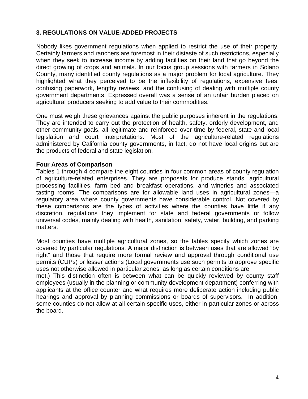# <span id="page-5-0"></span>**3. REGULATIONS ON VALUE-ADDED PROJECTS**

Nobody likes government regulations when applied to restrict the use of their property. Certainly farmers and ranchers are foremost in their distaste of such restrictions, especially when they seek to increase income by adding facilities on their land that go beyond the direct growing of crops and animals. In our focus group sessions with farmers in Solano County, many identified county regulations as a major problem for local agriculture. They highlighted what they perceived to be the inflexibility of regulations, expensive fees, confusing paperwork, lengthy reviews, and the confusing of dealing with multiple county government departments. Expressed overall was a sense of an unfair burden placed on agricultural producers seeking to add value to their commodities.

One must weigh these grievances against the public purposes inherent in the regulations. They are intended to carry out the protection of health, safety, orderly development, and other community goals, all legitimate and reinforced over time by federal, state and local legislation and court interpretations. Most of the agriculture-related regulations administered by California county governments, in fact, do not have local origins but are the products of federal and state legislation.

#### **Four Areas of Comparison**

Tables 1 through 4 compare the eight counties in four common areas of county regulation of agriculture-related enterprises. They are proposals for produce stands, agricultural processing facilities, farm bed and breakfast operations, and wineries and associated tasting rooms. The comparisons are for allowable land uses in agricultural zones—a regulatory area where county governments have considerable control. Not covered by these comparisons are the types of activities where the counties have little if any discretion, regulations they implement for state and federal governments or follow universal codes, mainly dealing with health, sanitation, safety, water, building, and parking matters.

Most counties have multiple agricultural zones, so the tables specify which zones are covered by particular regulations. A major distinction is between uses that are allowed "by right" and those that require more formal review and approval through conditional use permits (CUPs) or lesser actions (Local governments use such permits to approve specific uses not otherwise allowed in particular zones, as long as certain conditions are

met.) This distinction often is between what can be quickly reviewed by county staff employees (usually in the planning or community development department) conferring with applicants at the office counter and what requires more deliberate action including public hearings and approval by planning commissions or boards of supervisors. In addition, some counties do not allow at all certain specific uses, either in particular zones or across the board.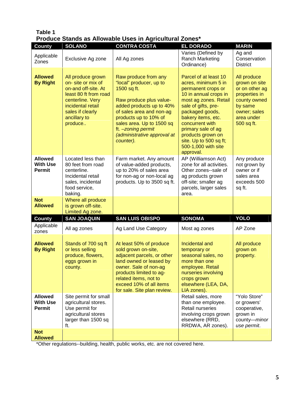|                                                    |                                                                                                                                                                                | Produce Stands as Allowable Uses in Agricultural Zones*                                                                                                                                                                                                                    |                                                                                                                                                                                                                                                                                                                  |                                                                                                                                        |
|----------------------------------------------------|--------------------------------------------------------------------------------------------------------------------------------------------------------------------------------|----------------------------------------------------------------------------------------------------------------------------------------------------------------------------------------------------------------------------------------------------------------------------|------------------------------------------------------------------------------------------------------------------------------------------------------------------------------------------------------------------------------------------------------------------------------------------------------------------|----------------------------------------------------------------------------------------------------------------------------------------|
| <b>County</b>                                      | <b>SOLANO</b>                                                                                                                                                                  | <b>CONTRA COSTA</b>                                                                                                                                                                                                                                                        | <b>EL DORADO</b>                                                                                                                                                                                                                                                                                                 | <b>MARIN</b>                                                                                                                           |
| Applicable<br>Zones                                | Exclusive Ag zone                                                                                                                                                              | All Ag zones                                                                                                                                                                                                                                                               | Varies (Defined by<br>Ranch Marketing<br>Ordinance)                                                                                                                                                                                                                                                              | Ag and<br>Conservation<br><b>District</b>                                                                                              |
| <b>Allowed</b><br><b>By Right</b>                  | All produce grown<br>on-site or mix of<br>on-and off-site. At<br>least 80 ft from road<br>centerline. Very<br>incidental retail<br>sales if clearly<br>ancillary to<br>produce | Raw produce from any<br>"local" producer, up to<br>1500 sq ft.<br>Raw produce plus value-<br>added products up to 40%<br>of sales area and non-ag<br>products up to 10% of<br>sales area. Up to 1500 sq<br>ft. - zoning permit<br>(administrative approval at<br>counter). | Parcel of at least 10<br>acres, minimum 5 in<br>permanent crops or<br>10 in annual crops in<br>most ag zones. Retail<br>sale of gifts, pre-<br>packaged goods,<br>bakery items, etc.<br>concurrent with<br>primary sale of ag<br>products grown on<br>site. Up to 500 sq ft;<br>500-1,000 with site<br>approval. | All produce<br>grown on site<br>or on other ag<br>properties in<br>county owned<br>by same<br>owner; sales<br>area under<br>500 sq ft. |
| <b>Allowed</b><br><b>With Use</b><br><b>Permit</b> | Located less than<br>80 feet from road<br>centerline.<br>Incidental retail<br>sales, incidental<br>food service,<br>baking.                                                    | Farm market. Any amount<br>of value-added products,<br>up to 20% of sales area<br>for non-ag or non-local ag<br>products. Up to 3500 sq ft.                                                                                                                                | AP (Williamson Act)<br>zone for all activities.<br>Other zones--sale of<br>ag products grown<br>off-site; smaller ag<br>parcels, larger sales<br>area.                                                                                                                                                           | Any produce<br>not grown by<br>owner or if<br>sales area<br>exceeds 500<br>sq ft.                                                      |
| <b>Not</b><br><b>Allowed</b>                       | Where all produce<br>is grown off-site.<br>Limited Ag zone.                                                                                                                    |                                                                                                                                                                                                                                                                            |                                                                                                                                                                                                                                                                                                                  |                                                                                                                                        |
| <b>County</b>                                      | <b>SAN JOAQUIN</b>                                                                                                                                                             | <b>SAN LUIS OBISPO</b>                                                                                                                                                                                                                                                     | <b>SONOMA</b>                                                                                                                                                                                                                                                                                                    | <b>YOLO</b>                                                                                                                            |
| Applicable<br>zones                                | All ag zones                                                                                                                                                                   | Ag Land Use Category                                                                                                                                                                                                                                                       | Most ag zones                                                                                                                                                                                                                                                                                                    | AP Zone                                                                                                                                |
| <b>Allowed</b><br><b>By Right</b>                  | Stands of 700 sq ft<br>or less selling<br>produce, flowers,<br>eggs grown in<br>county.                                                                                        | At least 50% of produce<br>sold grown on-site,<br>adjacent parcels, or other<br>land owned or leased by<br>owner. Sale of non-ag<br>products limited to ag-<br>related items, not to<br>exceed 10% of all items<br>for sale. Site plan review.                             | Incidental and<br>temporary or<br>seasonal sales, no<br>more than one<br>employee. Retail<br>nurseries involving<br>crops grown<br>elsewhere (LEA, DA,<br>LIA zones).                                                                                                                                            | All produce<br>grown on<br>property.                                                                                                   |
| <b>Allowed</b><br><b>With Use</b><br><b>Permit</b> | Site permit for small<br>agricultural stores.<br>Use permit for<br>agricultural stores<br>larger than 1500 sq<br>ft.                                                           |                                                                                                                                                                                                                                                                            | Retail sales, more<br>than one employee.<br>Retail nurseries<br>involving crops grown<br>elsewhere (RRD,<br>RRDWA, AR zones).                                                                                                                                                                                    | "Yolo Store"<br>or growers'<br>cooperative,<br>grown in<br>county-minor<br>use permit.                                                 |
| <b>Not</b><br><b>Allowed</b>                       |                                                                                                                                                                                |                                                                                                                                                                                                                                                                            |                                                                                                                                                                                                                                                                                                                  |                                                                                                                                        |

# <span id="page-6-0"></span>**Table 1 Produce Stands as Allowable Uses in Agricultural Zones\***

\*Other regulations--building, health, public works, etc. are not covered here.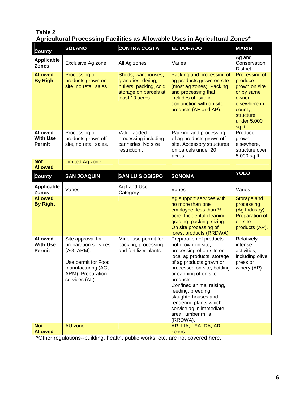## <span id="page-7-0"></span>**Table 2 Agricultural Processing Facilities as Allowable Uses in Agricultural Zones\***

| <b>County</b>                                      | <b>SOLANO</b>                                                                                                                              | <b>CONTRA COSTA</b>                                                                                           | <b>EL DORADO</b>                                                                                                                                                                                                                                                                                                                                                        | <b>MARIN</b>                                                                                                                      |
|----------------------------------------------------|--------------------------------------------------------------------------------------------------------------------------------------------|---------------------------------------------------------------------------------------------------------------|-------------------------------------------------------------------------------------------------------------------------------------------------------------------------------------------------------------------------------------------------------------------------------------------------------------------------------------------------------------------------|-----------------------------------------------------------------------------------------------------------------------------------|
| <b>Applicable</b><br><b>Zones</b>                  | Exclusive Ag zone                                                                                                                          | All Ag zones                                                                                                  | Varies                                                                                                                                                                                                                                                                                                                                                                  | Ag and<br>Conservation<br><b>District</b>                                                                                         |
| <b>Allowed</b><br><b>By Right</b>                  | Processing of<br>products grown on-<br>site, no retail sales.                                                                              | Sheds, warehouses,<br>granaries, drying,<br>hullers, packing, cold<br>storage on parcels at<br>least 10 acres | Packing and processing of<br>ag products grown on site<br>(most ag zones). Packing<br>and processing that<br>includes off-site in<br>conjunction with on site<br>products (AE and AP).                                                                                                                                                                                  | Processing of<br>produce<br>grown on site<br>or by same<br>owner<br>elsewhere in<br>county,<br>structure<br>under 5,000<br>sq ft. |
| <b>Allowed</b><br><b>With Use</b><br><b>Permit</b> | Processing of<br>products grown off-<br>site, no retail sales.                                                                             | Value added<br>processing including<br>canneries. No size<br>restriction                                      | Packing and processing<br>of ag products grown off<br>site. Accessory structures<br>on parcels under 20<br>acres.                                                                                                                                                                                                                                                       | Produce<br>grown<br>elsewhere,<br>structure over<br>5,000 sq ft.                                                                  |
| <b>Not</b><br><b>Allowed</b>                       | <b>Limited Ag zone</b>                                                                                                                     |                                                                                                               |                                                                                                                                                                                                                                                                                                                                                                         |                                                                                                                                   |
| <b>County</b>                                      | <b>SAN JOAQUIN</b>                                                                                                                         | <b>SAN LUIS OBISPO</b>                                                                                        | <b>SONOMA</b>                                                                                                                                                                                                                                                                                                                                                           | <b>YOLO</b>                                                                                                                       |
| <b>Applicable</b><br><b>Zones</b>                  | Varies                                                                                                                                     | Ag Land Use<br>Category                                                                                       | Varies                                                                                                                                                                                                                                                                                                                                                                  | Varies                                                                                                                            |
| <b>Allowed</b><br><b>By Right</b>                  |                                                                                                                                            |                                                                                                               | Ag support services with<br>no more than one<br>employee, less than $\frac{1}{2}$<br>acre. Incidental cleaning,<br>grading, packing, sizing.<br>On site processing of<br>forest products (RRDWA).                                                                                                                                                                       | Storage and<br>processing<br>(Ag Industry).<br>Preparation of<br>on-site<br>products (AP).                                        |
| <b>Allowed</b><br><b>With Use</b><br>Permit        | Site approval for<br>preparation services<br>(AG, ARM).<br>Use permit for Food<br>manufacturing (AG,<br>ARM), Preparation<br>services (AL) | Minor use permit for<br>packing, processing<br>and fertilizer plants.                                         | Preparation of products<br>not grown on site,<br>processing of on-site or<br>local ag products, storage<br>of ag products grown or<br>processed on site, bottling<br>or canning of on site<br>products.<br>Confined animal raising,<br>feeding, breeding;<br>slaughterhouses and<br>rendering plants which<br>service ag in immediate<br>area, lumber mills<br>(RRDWA). | Relatively<br>intense<br>activities,<br>including olive<br>press or<br>winery (AP).                                               |
| <b>Not</b><br><b>Allowed</b>                       | AU zone                                                                                                                                    |                                                                                                               | AR, LIA, LEA, DA, AR<br>zones                                                                                                                                                                                                                                                                                                                                           |                                                                                                                                   |

\*Other regulations--building, health, public works, etc. are not covered here.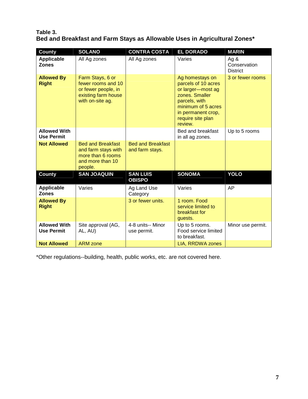# <span id="page-8-0"></span>**Table 3. Bed and Breakfast and Farm Stays as Allowable Uses in Agricultural Zones\***

| <b>County</b>                            | <b>SOLANO</b>                                                                                            | <b>CONTRA COSTA</b>                         | <b>EL DORADO</b>                                                                                                                                                           | <b>MARIN</b>                            |
|------------------------------------------|----------------------------------------------------------------------------------------------------------|---------------------------------------------|----------------------------------------------------------------------------------------------------------------------------------------------------------------------------|-----------------------------------------|
| <b>Applicable</b><br><b>Zones</b>        | All Ag zones                                                                                             | All Ag zones                                | Varies                                                                                                                                                                     | Ag &<br>Conservation<br><b>District</b> |
| <b>Allowed By</b><br><b>Right</b>        | Farm Stays, 6 or<br>fewer rooms and 10<br>or fewer people, in<br>existing farm house<br>with on-site ag. |                                             | Ag homestays on<br>parcels of 10 acres<br>or larger-most ag<br>zones. Smaller<br>parcels, with<br>minimum of 5 acres<br>in permanent crop,<br>require site plan<br>review. | 3 or fewer rooms                        |
| <b>Allowed With</b><br><b>Use Permit</b> |                                                                                                          |                                             | Bed and breakfast<br>in all ag zones.                                                                                                                                      | Up to 5 rooms                           |
| <b>Not Allowed</b>                       | <b>Bed and Breakfast</b><br>and farm stays with<br>more than 6 rooms<br>and more than 10<br>people.      | <b>Bed and Breakfast</b><br>and farm stays. |                                                                                                                                                                            |                                         |
| <b>County</b>                            | <b>SAN JOAQUIN</b>                                                                                       | <b>SAN LUIS</b><br><b>OBISPO</b>            | <b>SONOMA</b>                                                                                                                                                              | <b>YOLO</b>                             |
| <b>Applicable</b><br><b>Zones</b>        | Varies                                                                                                   | Ag Land Use<br>Category                     | Varies                                                                                                                                                                     | AP                                      |
| <b>Allowed By</b><br><b>Right</b>        |                                                                                                          | 3 or fewer units.                           | 1 room. Food<br>service limited to<br>breakfast for<br>guests.                                                                                                             |                                         |
| <b>Allowed With</b><br><b>Use Permit</b> | Site approval (AG,<br>AL, AU)                                                                            | 4-8 units-- Minor<br>use permit.            | Up to 5 rooms.<br>Food service limited<br>to breakfast.                                                                                                                    | Minor use permit.                       |
| <b>Not Allowed</b>                       | <b>ARM</b> zone                                                                                          |                                             | LIA, RRDWA zones                                                                                                                                                           |                                         |

\*Other regulations--building, health, public works, etc. are not covered here.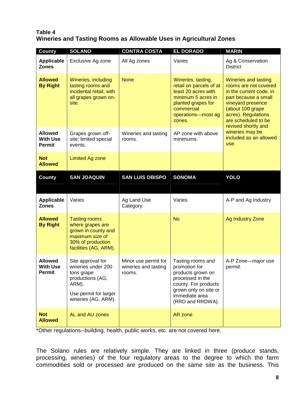## **Table 4 Wineries and Tasting Rooms as Allowable Uses in Agricultural Zones**

<span id="page-9-0"></span>

| <b>County</b>                                      | <b>SOLANO</b>                                                                                                                      | <b>CONTRA COSTA</b>                                    | <b>EL DORADO</b>                                                                                                                                                   | <b>MARIN</b>                                                                                                                                                                                                   |
|----------------------------------------------------|------------------------------------------------------------------------------------------------------------------------------------|--------------------------------------------------------|--------------------------------------------------------------------------------------------------------------------------------------------------------------------|----------------------------------------------------------------------------------------------------------------------------------------------------------------------------------------------------------------|
| <b>Applicable</b><br><b>Zones</b>                  | Exclusive Ag zone                                                                                                                  | All Ag zones                                           | Varies                                                                                                                                                             | Ag & Conservation<br><b>District</b>                                                                                                                                                                           |
| <b>Allowed</b><br><b>By Right</b>                  | Wineries, including<br>tasting rooms and<br>incidental retail, with<br>all grapes grown on-<br>site.                               | <b>None</b>                                            | Wineries, tasting,<br>retail on parcels of at<br>least 20 acres with<br>minimum 5 acres in<br>planted grapes for<br>commercial<br>operations-most ag<br>zones.     | Wineries and tasting<br>rooms are not covered<br>in the current code, in<br>part because a small<br>vineyard presence<br>(about 100 grape<br>acres). Regulations<br>are scheduled to be<br>revised shortly and |
| <b>Allowed</b><br><b>With Use</b><br><b>Permit</b> | Grapes grown off-<br>site; limited special<br>events.                                                                              | Wineries and tasting<br>rooms.                         | AP zone with above<br>minimums.                                                                                                                                    | wineries may be<br>included as an allowed<br>use.                                                                                                                                                              |
| <b>Not</b><br><b>Allowed</b>                       | <b>Limited Ag zone</b>                                                                                                             |                                                        |                                                                                                                                                                    |                                                                                                                                                                                                                |
| <b>County</b>                                      | <b>SAN JOAQUIN</b>                                                                                                                 | <b>SAN LUIS OBISPO</b>                                 | <b>SONOMA</b>                                                                                                                                                      | <b>YOLO</b>                                                                                                                                                                                                    |
| <b>Applicable</b><br><b>Zones</b>                  | Varies                                                                                                                             | Ag Land Use<br>Category                                | Varies                                                                                                                                                             | A-P and Ag Industry                                                                                                                                                                                            |
| <b>Allowed</b><br><b>By Right</b>                  | <b>Tasting rooms</b><br>where grapes are<br>grown in county and<br>maximum size of<br>30% of production<br>facilities (AG, ARM).   |                                                        | <b>No</b>                                                                                                                                                          | <b>Ag Industry Zone</b>                                                                                                                                                                                        |
| <b>Allowed</b><br><b>With Use</b><br>Permit        | Site approval for<br>wineries under 200<br>tons grape<br>productions (AG,<br>ARM).<br>Use permit for larger<br>wineries (AG, ARM). | Minor use permit for<br>wineries and tasting<br>rooms. | Tasting rooms and<br>promotion for<br>products grown on<br>processed in the<br>county. For products<br>grown only on site or<br>immediate area<br>(RRD and RRDWA). | A-P Zone-major use<br>permit.                                                                                                                                                                                  |
| <b>Not</b><br><b>Allowed</b>                       | AL and AU zones                                                                                                                    |                                                        | AR zone                                                                                                                                                            |                                                                                                                                                                                                                |

\*Other regulations--building, health, public works, etc. are not covered here.

The Solano rules are relatively simple. They are linked in three (produce stands, processing, wineries) of the four regulatory areas to the degree to which the farm commodities sold or processed are produced on the same site as the business. This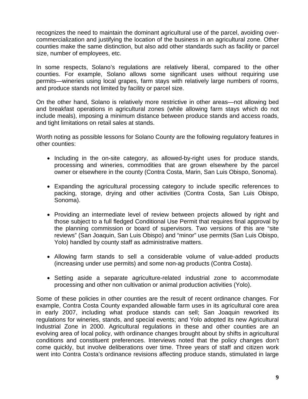recognizes the need to maintain the dominant agricultural use of the parcel, avoiding overcommercialization and justifying the location of the business in an agricultural zone. Other counties make the same distinction, but also add other standards such as facility or parcel size, number of employees, etc.

In some respects, Solano's regulations are relatively liberal, compared to the other counties. For example, Solano allows some significant uses without requiring use permits—wineries using local grapes, farm stays with relatively large numbers of rooms, and produce stands not limited by facility or parcel size.

On the other hand, Solano is relatively more restrictive in other areas—not allowing bed and breakfast operations in agricultural zones (while allowing farm stays which do not include meals), imposing a minimum distance between produce stands and access roads, and tight limitations on retail sales at stands.

Worth noting as possible lessons for Solano County are the following regulatory features in other counties:

- Including in the on-site category, as allowed-by-right uses for produce stands, processing and wineries, commodities that are grown elsewhere by the parcel owner or elsewhere in the county (Contra Costa, Marin, San Luis Obispo, Sonoma).
- Expanding the agricultural processing category to include specific references to packing, storage, drying and other activities (Contra Costa, San Luis Obispo, Sonoma).
- Providing an intermediate level of review between projects allowed by right and those subject to a full fledged Conditional Use Permit that requires final approval by the planning commission or board of supervisors. Two versions of this are "site reviews" (San Joaquin, San Luis Obispo) and "minor" use permits (San Luis Obispo, Yolo) handled by county staff as administrative matters.
- Allowing farm stands to sell a considerable volume of value-added products (increasing under use permits) and some non-ag products (Contra Costa).
- Setting aside a separate agriculture-related industrial zone to accommodate processing and other non cultivation or animal production activities (Yolo).

Some of these policies in other counties are the result of recent ordinance changes. For example, Contra Costa County expanded allowable farm uses in its agricultural core area in early 2007, including what produce stands can sell; San Joaquin reworked its regulations for wineries, stands, and special events; and Yolo adopted its new Agricultural Industrial Zone in 2000. Agricultural regulations in these and other counties are an evolving area of local policy, with ordinance changes brought about by shifts in agricultural conditions and constituent preferences. Interviews noted that the policy changes don't come quickly, but involve deliberations over time. Three years of staff and citizen work went into Contra Costa's ordinance revisions affecting produce stands, stimulated in large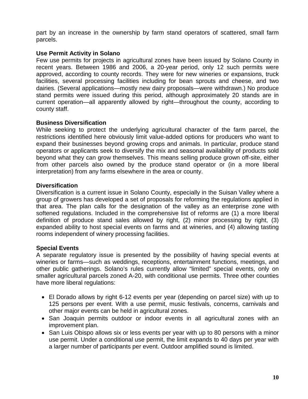part by an increase in the ownership by farm stand operators of scattered, small farm parcels.

#### **Use Permit Activity in Solano**

Few use permits for projects in agricultural zones have been issued by Solano County in recent years. Between 1986 and 2006, a 20-year period, only 12 such permits were approved, according to county records. They were for new wineries or expansions, truck facilities, several processing facilities including for bean sprouts and cheese, and two dairies. (Several applications—mostly new dairy proposals—were withdrawn.) No produce stand permits were issued during this period, although approximately 20 stands are in current operation—all apparently allowed by right—throughout the county, according to county staff.

## **Business Diversification**

While seeking to protect the underlying agricultural character of the farm parcel, the restrictions identified here obviously limit value-added options for producers who want to expand their businesses beyond growing crops and animals. In particular, produce stand operators or applicants seek to diversify the mix and seasonal availability of products sold beyond what they can grow themselves. This means selling produce grown off-site, either from other parcels also owned by the produce stand operator or (in a more liberal interpretation) from any farms elsewhere in the area or county.

## **Diversification**

Diversification is a current issue in Solano County, especially in the Suisan Valley where a group of growers has developed a set of proposals for reforming the regulations applied in that area. The plan calls for the designation of the valley as an enterprise zone with softened regulations. Included in the comprehensive list of reforms are (1) a more liberal definition of produce stand sales allowed by right, (2) minor processing by right, (3) expanded ability to host special events on farms and at wineries, and (4) allowing tasting rooms independent of winery processing facilities.

# **Special Events**

A separate regulatory issue is presented by the possibility of having special events at wineries or farms—such as weddings, receptions, entertainment functions, meetings, and other public gatherings. Solano's rules currently allow "limited" special events, only on smaller agricultural parcels zoned A-20, with conditional use permits. Three other counties have more liberal regulations:

- El Dorado allows by right 6-12 events per year (depending on parcel size) with up to 125 persons per event. With a use permit, music festivals, concerns, carnivals and other major events can be held in agricultural zones.
- San Joaquin permits outdoor or indoor events in all agricultural zones with an improvement plan.
- San Luis Obispo allows six or less events per year with up to 80 persons with a minor use permit. Under a conditional use permit, the limit expands to 40 days per year with a larger number of participants per event. Outdoor amplified sound is limited.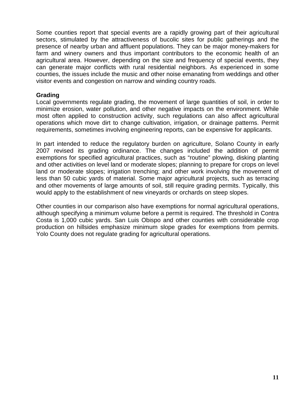Some counties report that special events are a rapidly growing part of their agricultural sectors, stimulated by the attractiveness of bucolic sites for public gatherings and the presence of nearby urban and affluent populations. They can be major money-makers for farm and winery owners and thus important contributors to the economic health of an agricultural area. However, depending on the size and frequency of special events, they can generate major conflicts with rural residential neighbors. As experienced in some counties, the issues include the music and other noise emanating from weddings and other visitor events and congestion on narrow and winding country roads.

#### **Grading**

Local governments regulate grading, the movement of large quantities of soil, in order to minimize erosion, water pollution, and other negative impacts on the environment. While most often applied to construction activity, such regulations can also affect agricultural operations which move dirt to change cultivation, irrigation, or drainage patterns. Permit requirements, sometimes involving engineering reports, can be expensive for applicants.

In part intended to reduce the regulatory burden on agriculture, Solano County in early 2007 revised its grading ordinance. The changes included the addition of permit exemptions for specified agricultural practices, such as "routine" plowing, disking planting and other activities on level land or moderate slopes; planning to prepare for crops on level land or moderate slopes; irrigation trenching; and other work involving the movement of less than 50 cubic yards of material. Some major agricultural projects, such as terracing and other movements of large amounts of soil, still require grading permits. Typically, this would apply to the establishment of new vineyards or orchards on steep slopes.

Other counties in our comparison also have exemptions for normal agricultural operations, although specifying a minimum volume before a permit is required. The threshold in Contra Costa is 1,000 cubic yards. San Luis Obispo and other counties with considerable crop production on hillsides emphasize minimum slope grades for exemptions from permits. Yolo County does not regulate grading for agricultural operations.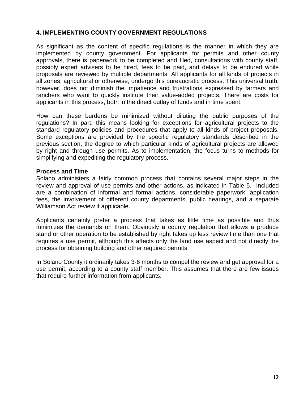## <span id="page-13-0"></span>**4. IMPLEMENTING COUNTY GOVERNMENT REGULATIONS**

As significant as the content of specific regulations is the manner in which they are implemented by county government. For applicants for permits and other county approvals, there is paperwork to be completed and filed, consultations with county staff, possibly expert advisers to be hired, fees to be paid, and delays to be endured while proposals are reviewed by multiple departments. All applicants for all kinds of projects in all zones, agricultural or otherwise, undergo this bureaucratic process. This universal truth, however, does not diminish the impatience and frustrations expressed by farmers and ranchers who want to quickly institute their value-added projects. There are costs for applicants in this process, both in the direct outlay of funds and in time spent.

How can these burdens be minimized without diluting the public purposes of the regulations? In part, this means looking for exceptions for agricultural projects to the standard regulatory policies and procedures that apply to all kinds of project proposals. Some exceptions are provided by the specific regulatory standards described in the previous section, the degree to which particular kinds of agricultural projects are allowed by right and through use permits. As to implementation, the focus turns to methods for simplifying and expediting the regulatory process.

#### **Process and Time**

Solano administers a fairly common process that contains several major steps in the review and approval of use permits and other actions, as indicated in Table 5. Included are a combination of informal and formal actions, considerable paperwork, application fees, the involvement of different county departments, public hearings, and a separate Williamson Act review if applicable.

Applicants certainly prefer a process that takes as little time as possible and thus minimizes the demands on them. Obviously a county regulation that allows a produce stand or other operation to be established by right takes up less review time than one that requires a use permit, although this affects only the land use aspect and not directly the process for obtaining building and other required permits.

In Solano County it ordinarily takes 3-6 months to compel the review and get approval for a use permit, according to a county staff member. This assumes that there are few issues that require further information from applicants.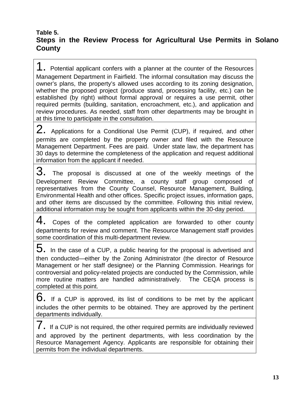# <span id="page-14-0"></span>**Table 5. Steps in the Review Process for Agricultural Use Permits in Solano County**

1. Potential applicant confers with a planner at the counter of the Resources Management Department in Fairfield. The informal consultation may discuss the owner's plans, the property's allowed uses according to its zoning designation, whether the proposed project (produce stand, processing facility, etc.) can be established (by right) without formal approval or requires a use permit, other required permits (building, sanitation, encroachment, etc.), and application and review procedures. As needed, staff from other departments may be brought in at this time to participate in the consultation.

2. Applications for a Conditional Use Permit (CUP), if required, and other permits are completed by the property owner and filed with the Resource Management Department. Fees are paid. Under state law, the department has 30 days to determine the completeness of the application and request additional information from the applicant if needed.

3. The proposal is discussed at one of the weekly meetings of the Development Review Committee, a county staff group composed of representatives from the County Counsel, Resource Management, Building, Environmental Health and other offices. Specific project issues, information gaps, and other items are discussed by the committee. Following this initial review, additional information may be sought from applicants within the 30-day period.

 $4.$  Copes of the completed application are forwarded to other county departments for review and comment. The Resource Management staff provides some coordination of this multi-department review.

 $5.$  In the case of a CUP, a public hearing for the proposal is advertised and then conducted—either by the Zoning Administrator (the director of Resource Management or her staff designee) or the Planning Commission. Hearings for controversial and policy-related projects are conducted by the Commission, while more routine matters are handled administratively. The CEQA process is completed at this point.

 $6.$  If a CUP is approved, its list of conditions to be met by the applicant includes the other permits to be obtained. They are approved by the pertinent departments individually.

 $7.$  If a CUP is not required, the other required permits are individually reviewed and approved by the pertinent departments, with less coordination by the Resource Management Agency. Applicants are responsible for obtaining their permits from the individual departments.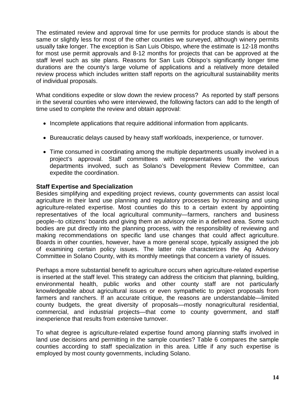The estimated review and approval time for use permits for produce stands is about the same or slightly less for most of the other counties we surveyed, although winery permits usually take longer. The exception is San Luis Obispo, where the estimate is 12-18 months for most use permit approvals and 8-12 months for projects that can be approved at the staff level such as site plans. Reasons for San Luis Obispo's significantly longer time durations are the county's large volume of applications and a relatively more detailed review process which includes written staff reports on the agricultural sustainability merits of individual proposals.

What conditions expedite or slow down the review process? As reported by staff persons in the several counties who were interviewed, the following factors can add to the length of time used to complete the review and obtain approval:

- Incomplete applications that require additional information from applicants.
- Bureaucratic delays caused by heavy staff workloads, inexperience, or turnover.
- Time consumed in coordinating among the multiple departments usually involved in a project's approval. Staff committees with representatives from the various departments involved, such as Solano's Development Review Committee, can expedite the coordination.

#### **Staff Expertise and Specialization**

Besides simplifying and expediting project reviews, county governments can assist local agriculture in their land use planning and regulatory processes by increasing and using agriculture-related expertise. Most counties do this to a certain extent by appointing representatives of the local agricultural community—farmers, ranchers and business people--to citizens' boards and giving them an advisory role in a defined area. Some such bodies are put directly into the planning process, with the responsibility of reviewing and making recommendations on specific land use changes that could affect agriculture. Boards in other counties, however, have a more general scope, typically assigned the job of examining certain policy issues. The latter role characterizes the Ag Advisory Committee in Solano County, with its monthly meetings that concern a variety of issues.

Perhaps a more substantial benefit to agriculture occurs when agriculture-related expertise is inserted at the staff level. This strategy can address the criticism that planning, building, environmental health, public works and other county staff are not particularly knowledgeable about agricultural issues or even sympathetic to project proposals from farmers and ranchers. If an accurate critique, the reasons are understandable—limited county budgets, the great diversity of proposals—mostly nonagricultural residential, commercial, and industrial projects—that come to county government, and staff inexperience that results from extensive turnover.

To what degree is agriculture-related expertise found among planning staffs involved in land use decisions and permitting in the sample counties? Table 6 compares the sample counties according to staff specialization in this area. Little if any such expertise is employed by most county governments, including Solano.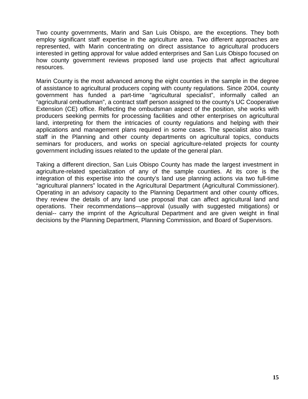Two county governments, Marin and San Luis Obispo, are the exceptions. They both employ significant staff expertise in the agriculture area. Two different approaches are represented, with Marin concentrating on direct assistance to agricultural producers interested in getting approval for value added enterprises and San Luis Obispo focused on how county government reviews proposed land use projects that affect agricultural resources.

Marin County is the most advanced among the eight counties in the sample in the degree of assistance to agricultural producers coping with county regulations. Since 2004, county government has funded a part-time "agricultural specialist", informally called an "agricultural ombudsman", a contract staff person assigned to the county's UC Cooperative Extension (CE) office. Reflecting the ombudsman aspect of the position, she works with producers seeking permits for processing facilities and other enterprises on agricultural land, interpreting for them the intricacies of county regulations and helping with their applications and management plans required in some cases. The specialist also trains staff in the Planning and other county departments on agricultural topics, conducts seminars for producers, and works on special agriculture-related projects for county government including issues related to the update of the general plan.

Taking a different direction, San Luis Obispo County has made the largest investment in agriculture-related specialization of any of the sample counties. At its core is the integration of this expertise into the county's land use planning actions via two full-time "agricultural planners" located in the Agricultural Department (Agricultural Commissioner). Operating in an advisory capacity to the Planning Department and other county offices, they review the details of any land use proposal that can affect agricultural land and operations. Their recommendations—approval (usually with suggested mitigations) or denial-- carry the imprint of the Agricultural Department and are given weight in final decisions by the Planning Department, Planning Commission, and Board of Supervisors.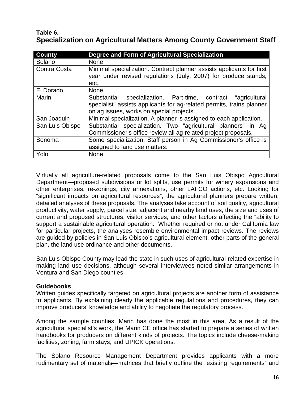# <span id="page-17-0"></span>**Table 6. Specialization on Agricultural Matters Among County Government Staff**

| <b>County</b>   | Degree and Form of Agricultural Specialization                                                                                                                                        |  |  |  |  |  |
|-----------------|---------------------------------------------------------------------------------------------------------------------------------------------------------------------------------------|--|--|--|--|--|
| Solano          | <b>None</b>                                                                                                                                                                           |  |  |  |  |  |
| Contra Costa    | Minimal specialization. Contract planner assists applicants for first<br>year under revised regulations (July, 2007) for produce stands,                                              |  |  |  |  |  |
| El Dorado       | etc.<br><b>None</b>                                                                                                                                                                   |  |  |  |  |  |
|                 |                                                                                                                                                                                       |  |  |  |  |  |
| Marin           | specialization. Part-time, contract "agricultural<br>Substantial<br>specialist" assists applicants for ag-related permits, trains planner<br>on ag issues, works on special projects. |  |  |  |  |  |
| San Joaquin     | Minimal specialization. A planner is assigned to each application.                                                                                                                    |  |  |  |  |  |
| San Luis Obispo | Substantial specialization. Two "agricultural planners" in Ag<br>Commissioner's office review all ag-related project proposals.                                                       |  |  |  |  |  |
| Sonoma          | Some specialization. Staff person in Ag Commissioner's office is<br>assigned to land use matters.                                                                                     |  |  |  |  |  |
| Yolo            | <b>None</b>                                                                                                                                                                           |  |  |  |  |  |

Virtually all agriculture-related proposals come to the San Luis Obispo Agricultural Department—proposed subdivisions or lot splits, use permits for winery expansions and other enterprises, re-zonings, city annexations, other LAFCO actions, etc. Looking for "significant impacts on agricultural resources", the agricultural planners prepare written, detailed analyses of these proposals. The analyses take account of soil quality, agricultural productivity, water supply, parcel size, adjacent and nearby land uses, the size and uses of current and proposed structures, visitor services, and other factors affecting the "ability to support a sustainable agricultural operation." Whether required or not under California law for particular projects, the analyses resemble environmental impact reviews. The reviews are guided by policies in San Luis Obispo's agricultural element, other parts of the general plan, the land use ordinance and other documents.

San Luis Obispo County may lead the state in such uses of agricultural-related expertise in making land use decisions, although several interviewees noted similar arrangements in Ventura and San Diego counties.

# **Guidebooks**

Written guides specifically targeted on agricultural projects are another form of assistance to applicants. By explaining clearly the applicable regulations and procedures, they can improve producers' knowledge and ability to negotiate the regulatory process.

Among the sample counties, Marin has done the most in this area. As a result of the agricultural specialist's work, the Marin CE office has started to prepare a series of written handbooks for producers on different kinds of projects. The topics include cheese-making facilities, zoning, farm stays, and UPICK operations.

The Solano Resource Management Department provides applicants with a more rudimentary set of materials—matrices that briefly outline the "existing requirements" and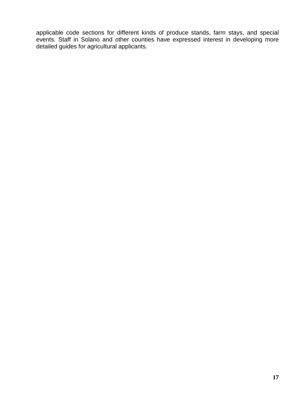applicable code sections for different kinds of produce stands, farm stays, and special events. Staff in Solano and other counties have expressed interest in developing more detailed guides for agricultural applicants.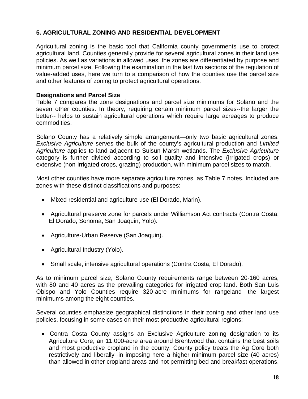# <span id="page-19-0"></span>**5. AGRICULTURAL ZONING AND RESIDENTIAL DEVELOPMENT**

Agricultural zoning is the basic tool that California county governments use to protect agricultural land. Counties generally provide for several agricultural zones in their land use policies. As well as variations in allowed uses, the zones are differentiated by purpose and minimum parcel size. Following the examination in the last two sections of the regulation of value-added uses, here we turn to a comparison of how the counties use the parcel size and other features of zoning to protect agricultural operations.

## **Designations and Parcel Size**

Table 7 compares the zone designations and parcel size minimums for Solano and the seven other counties. In theory, requiring certain minimum parcel sizes--the larger the better-- helps to sustain agricultural operations which require large acreages to produce commodities.

Solano County has a relatively simple arrangement—only two basic agricultural zones. *Exclusive Agriculture* serves the bulk of the county's agricultural production and *Limited Agriculture* applies to land adjacent to Suisun Marsh wetlands. The *Exclusive Agriculture* category is further divided according to soil quality and intensive (irrigated crops) or extensive (non-irrigated crops, grazing) production, with minimum parcel sizes to match.

Most other counties have more separate agriculture zones, as Table 7 notes. Included are zones with these distinct classifications and purposes:

- Mixed residential and agriculture use (El Dorado, Marin).
- Agricultural preserve zone for parcels under Williamson Act contracts (Contra Costa, El Dorado, Sonoma, San Joaquin, Yolo).
- Agriculture-Urban Reserve (San Joaquin).
- Agricultural Industry (Yolo).
- Small scale, intensive agricultural operations (Contra Costa, El Dorado).

As to minimum parcel size, Solano County requirements range between 20-160 acres, with 80 and 40 acres as the prevailing categories for irrigated crop land. Both San Luis Obispo and Yolo Counties require 320-acre minimums for rangeland—the largest minimums among the eight counties.

Several counties emphasize geographical distinctions in their zoning and other land use policies, focusing in some cases on their most productive agricultural regions:

 Contra Costa County assigns an Exclusive Agriculture zoning designation to its Agriculture Core, an 11,000-acre area around Brentwood that contains the best soils and most productive cropland in the county. County policy treats the Ag Core both restrictively and liberally--in imposing here a higher minimum parcel size (40 acres) than allowed in other cropland areas and not permitting bed and breakfast operations,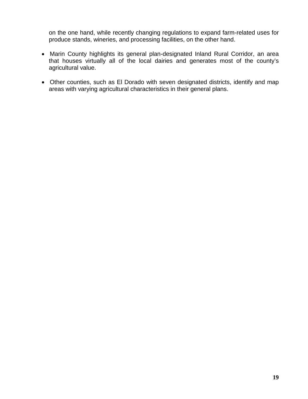on the one hand, while recently changing regulations to expand farm-related uses for produce stands, wineries, and processing facilities, on the other hand.

- Marin County highlights its general plan-designated Inland Rural Corridor, an area that houses virtually all of the local dairies and generates most of the county's agricultural value.
- Other counties, such as El Dorado with seven designated districts, identify and map areas with varying agricultural characteristics in their general plans.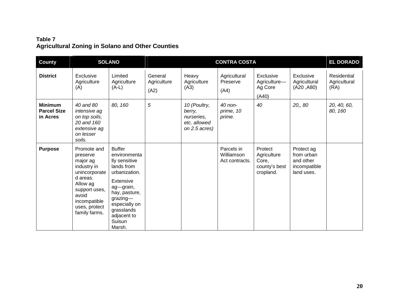# **Table 7 Agricultural Zoning in Solano and Other Counties**

<span id="page-21-0"></span>

| <b>County</b>                                    |                                                                                                                                                                         | <b>SOLANO</b>                                                                                                                                                                                                    |                                |                                                                       | <b>CONTRA COSTA</b>                        |                                                               |                                                                     | <b>EL DORADO</b>                    |
|--------------------------------------------------|-------------------------------------------------------------------------------------------------------------------------------------------------------------------------|------------------------------------------------------------------------------------------------------------------------------------------------------------------------------------------------------------------|--------------------------------|-----------------------------------------------------------------------|--------------------------------------------|---------------------------------------------------------------|---------------------------------------------------------------------|-------------------------------------|
| <b>District</b>                                  | Exclusive<br>Agriculture<br>(A)                                                                                                                                         | Limited<br>Agriculture<br>$(A-L)$                                                                                                                                                                                | General<br>Agriculture<br>(A2) | Heavy<br>Agriculture<br>(A3)                                          | Agricultural<br>Preserve<br>(A4)           | Exclusive<br>Agriculture-<br>Ag Core<br>(A40)                 | Exclusive<br>Agricultural<br>(A20, A80)                             | Residential<br>Agricultural<br>(RA) |
| <b>Minimum</b><br><b>Parcel Size</b><br>in Acres | 40 and 80<br>intensive ag<br>on top soils,<br>20 and 160<br>extensive ag<br>on lesser<br>soils.                                                                         | 80, 160                                                                                                                                                                                                          | 5                              | 10 (Poultry,<br>berry,<br>nurseries,<br>etc. allowed<br>on 2.5 acres) | 40 non-<br>prime, 10<br>prime.             | 40                                                            | 20, 80                                                              | 20, 40, 60,<br>80, 160              |
| <b>Purpose</b>                                   | Promote and<br>preserve<br>major ag<br>industry in<br>unincorporate<br>d areas.<br>Allow ag<br>support uses,<br>avoid<br>incompatible<br>uses, protect<br>family farms. | <b>Buffer</b><br>environmenta<br>lly sensitive<br>lands from<br>urbanization.<br><b>Extensive</b><br>ag-grain,<br>hay, pasture,<br>$grazing$ —<br>especially on<br>grasslands<br>adjacent to<br>Suisun<br>Marsh. |                                |                                                                       | Parcels in<br>Williamson<br>Act contracts. | Protect<br>Agriculture<br>Core,<br>county's best<br>cropland. | Protect ag<br>from urban<br>and other<br>incompatible<br>land uses. |                                     |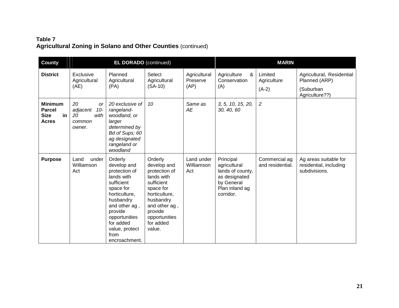# **Table 7 Agricultural Zoning in Solano and Other Counties** (continued)

| <b>County</b>                                                        | <b>EL DORADO</b> (continued)                                           |                                                                                                                                                                                                                     |                                                                                                                                                                                    |                                  |                                                                                                             | <b>MARIN</b>                      |                                                                  |
|----------------------------------------------------------------------|------------------------------------------------------------------------|---------------------------------------------------------------------------------------------------------------------------------------------------------------------------------------------------------------------|------------------------------------------------------------------------------------------------------------------------------------------------------------------------------------|----------------------------------|-------------------------------------------------------------------------------------------------------------|-----------------------------------|------------------------------------------------------------------|
| <b>District</b>                                                      | Exclusive<br>Agricultural<br>(AE)                                      | Planned<br>Agricultural<br>(PA)                                                                                                                                                                                     | Select<br>Agricultural<br>$(SA-10)$                                                                                                                                                | Agricultural<br>Preserve<br>(AP) | Agriculture<br>&<br>Conservation<br>(A)                                                                     | Limited<br>Agriculture<br>$(A-2)$ | Agricultural, Residential<br>Planned (ARP)<br>(Suburban          |
|                                                                      |                                                                        |                                                                                                                                                                                                                     |                                                                                                                                                                                    |                                  |                                                                                                             |                                   | Agriculture??)                                                   |
| <b>Minimum</b><br><b>Parcel</b><br><b>Size</b><br>in<br><b>Acres</b> | 20<br><b>or</b><br>adjacent<br>$10-$<br>20<br>with<br>common<br>owner. | 20 exclusive of<br>rangeland-<br>woodland, or<br>larger<br>determined by<br>Bd of Sups; 60<br>ag designated<br>rangeland or<br>woodland                                                                             | 10                                                                                                                                                                                 | Same as<br>AE                    | 3, 5, 10, 15, 20,<br>30, 40, 60                                                                             | $\overline{c}$                    |                                                                  |
| <b>Purpose</b>                                                       | under<br>Land<br>Williamson<br>Act                                     | Orderly<br>develop and<br>protection of<br>lands with<br>sufficient<br>space for<br>horticulture,<br>husbandry<br>and other ag,<br>provide<br>opportunities<br>for added<br>value, protect<br>from<br>encroachment. | Orderly<br>develop and<br>protection of<br>lands with<br>sufficient<br>space for<br>horticulture,<br>husbandry<br>and other ag,<br>provide<br>opportunities<br>for added<br>value. | Land under<br>Williamson<br>Act  | Principal<br>agricultural<br>lands of county,<br>as designated<br>by General<br>Plan inland ag<br>corridor. | Commercial ag<br>and residential. | Ag areas suitable for<br>residential, including<br>subdivisions. |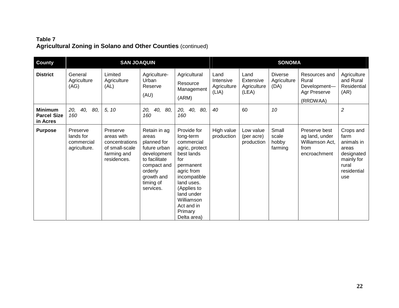# **Table 7 Agricultural Zoning in Solano and Other Counties** (continued)

| <b>County</b>                                    |                                                     |                                                                                          |                                                                                                                                                        | <b>SONOMA</b>                                                                                                                                                                                                             |                                           |                                           |                                       |                                                                            |                                                                                                     |
|--------------------------------------------------|-----------------------------------------------------|------------------------------------------------------------------------------------------|--------------------------------------------------------------------------------------------------------------------------------------------------------|---------------------------------------------------------------------------------------------------------------------------------------------------------------------------------------------------------------------------|-------------------------------------------|-------------------------------------------|---------------------------------------|----------------------------------------------------------------------------|-----------------------------------------------------------------------------------------------------|
| <b>District</b>                                  | General<br>Agriculture<br>(AG)                      | Limited<br>Agriculture<br>(AL)                                                           | Agriculture-<br>Urban<br>Reserve<br>(AU)                                                                                                               | Agricultural<br>Resource<br>Management<br>(ARM)                                                                                                                                                                           | Land<br>Intensive<br>Agriculture<br>(LIA) | Land<br>Extensive<br>Agriculture<br>(LEA) | <b>Diverse</b><br>Agriculture<br>(DA) | Resources and<br>Rural<br>Development-<br>Agr Preserve<br>(RRDWAA)         | Agriculture<br>and Rural<br>Residential<br>(AR)                                                     |
| <b>Minimum</b><br><b>Parcel Size</b><br>in Acres | 20,<br>40,<br>80,<br>160                            | 5, 10                                                                                    | 20,<br>40,<br>80,<br>160                                                                                                                               | 80,<br>20,<br>40,<br>160                                                                                                                                                                                                  | 40                                        | 60                                        | 10                                    |                                                                            | $\overline{2}$                                                                                      |
| <b>Purpose</b>                                   | Preserve<br>lands for<br>commercial<br>agriculture. | Preserve<br>areas with<br>concentrations<br>of small-scale<br>farming and<br>residences. | Retain in ag<br>areas<br>planned for<br>future urban<br>development<br>to facilitate<br>compact and<br>orderly<br>growth and<br>timing of<br>services. | Provide for<br>long-term<br>commercial<br>agric, protect<br>best lands<br>for<br>permanent<br>agric from<br>incompatible<br>land uses.<br>(Applies to<br>land under<br>Williamson<br>Act and in<br>Primary<br>Delta area) | High value<br>production                  | Low value<br>(per acre)<br>production     | Small<br>scale<br>hobby<br>farming    | Preserve best<br>ag land, under<br>Williamson Act,<br>from<br>encroachment | Crops and<br>farm<br>animals in<br>areas<br>designated<br>mainly for<br>rural<br>residential<br>use |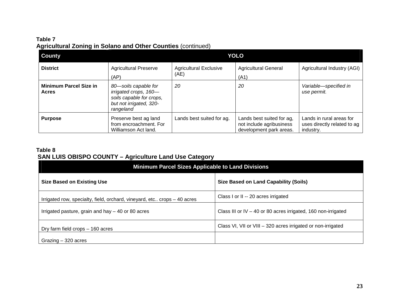# **Table 7 Agricultural Zoning in Solano and Other Counties** (continued)

| <b>County</b>                                 |                                                                                                                   | <b>YOLO</b>                           |                                                                                  |                                                                      |  |  |  |  |
|-----------------------------------------------|-------------------------------------------------------------------------------------------------------------------|---------------------------------------|----------------------------------------------------------------------------------|----------------------------------------------------------------------|--|--|--|--|
| <b>District</b>                               | <b>Agricultural Preserve</b><br>(AP)                                                                              | <b>Agricultural Exclusive</b><br>(AE) | <b>Agricultural General</b><br>(A1)                                              | Agricultural Industry (AGI)                                          |  |  |  |  |
| <b>Minimum Parcel Size in</b><br><b>Acres</b> | 80-soils capable for<br>irrigated crops, 160-<br>soils capable for crops,<br>but not irrigated, 320-<br>rangeland | 20                                    | 20                                                                               | Variable-specified in<br>use permit.                                 |  |  |  |  |
| <b>Purpose</b>                                | Preserve best ag land<br>from encroachment. For<br>Williamson Act land.                                           | Lands best suited for ag.             | Lands best suited for ag,<br>not include agribusiness<br>development park areas. | Lands in rural areas for<br>uses directly related to ag<br>industry. |  |  |  |  |

## **Table 8 SAN LUIS OBISPO COUNTY – Agriculture Land Use Category**

<span id="page-24-0"></span>

| <b>Minimum Parcel Sizes Applicable to Land Divisions</b>                 |                                                                 |  |  |  |  |
|--------------------------------------------------------------------------|-----------------------------------------------------------------|--|--|--|--|
| <b>Size Based on Existing Use</b>                                        | <b>Size Based on Land Capability (Soils)</b>                    |  |  |  |  |
| Irrigated row, specialty, field, orchard, vineyard, etc crops - 40 acres | Class I or II -- 20 acres irrigated                             |  |  |  |  |
| Irrigated pasture, grain and hay $-$ 40 or 80 acres                      | Class III or IV $-$ 40 or 80 acres irrigated, 160 non-irrigated |  |  |  |  |
| Dry farm field crops - 160 acres                                         | Class VI, VII or VIII - 320 acres irrigated or non-irrigated    |  |  |  |  |
| Grazing $-320$ acres                                                     |                                                                 |  |  |  |  |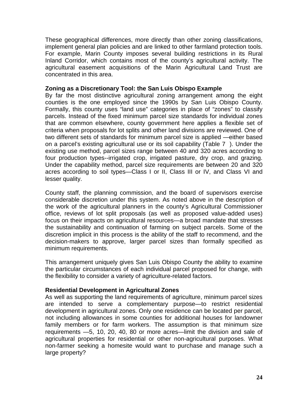These geographical differences, more directly than other zoning classifications, implement general plan policies and are linked to other farmland protection tools. For example, Marin County imposes several building restrictions in its Rural Inland Corridor, which contains most of the county's agricultural activity. The agricultural easement acquisitions of the Marin Agricultural Land Trust are concentrated in this area.

#### **Zoning as a Discretionary Tool: the San Luis Obispo Example**

By far the most distinctive agricultural zoning arrangement among the eight counties is the one employed since the 1990s by San Luis Obispo County. Formally, this county uses "land use" categories in place of "zones" to classify parcels. Instead of the fixed minimum parcel size standards for individual zones that are common elsewhere, county government here applies a flexible set of criteria when proposals for lot splits and other land divisions are reviewed. One of two different sets of standards for minimum parcel size is applied —either based on a parcel's existing agricultural use or its soil capability (Table 7 ). Under the existing use method, parcel sizes range between 40 and 320 acres according to four production types--irrigated crop, irrigated pasture, dry crop, and grazing. Under the capability method, parcel size requirements are between 20 and 320 acres according to soil types—Class I or II, Class III or IV, and Class VI and lesser quality.

County staff, the planning commission, and the board of supervisors exercise considerable discretion under this system. As noted above in the description of the work of the agricultural planners in the county's Agricultural Commissioner office, reviews of lot split proposals (as well as proposed value-added uses) focus on their impacts on agricultural resources—a broad mandate that stresses the sustainability and continuation of farming on subject parcels. Some of the discretion implicit in this process is the ability of the staff to recommend, and the decision-makers to approve, larger parcel sizes than formally specified as minimum requirements.

This arrangement uniquely gives San Luis Obispo County the ability to examine the particular circumstances of each individual parcel proposed for change, with the flexibility to consider a variety of agriculture-related factors.

#### **Residential Development in Agricultural Zones**

As well as supporting the land requirements of agriculture, minimum parcel sizes are intended to serve a complementary purpose—to restrict residential development in agricultural zones. Only one residence can be located per parcel, not including allowances in some counties for additional houses for landowner family members or for farm workers. The assumption is that minimum size requirements —5, 10, 20, 40, 80 or more acres—limit the division and sale of agricultural properties for residential or other non-agricultural purposes. What non-farmer seeking a homesite would want to purchase and manage such a large property?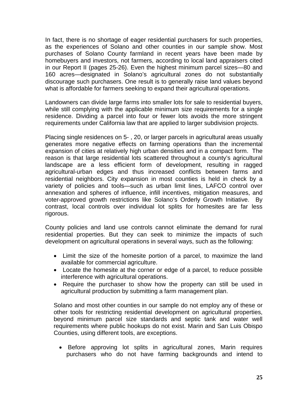In fact, there is no shortage of eager residential purchasers for such properties, as the experiences of Solano and other counties in our sample show. Most purchases of Solano County farmland in recent years have been made by homebuyers and investors, not farmers, according to local land appraisers cited in our Report II (pages 25-26). Even the highest minimum parcel sizes—80 and 160 acres—designated in Solano's agricultural zones do not substantially discourage such purchasers. One result is to generally raise land values beyond what is affordable for farmers seeking to expand their agricultural operations.

Landowners can divide large farms into smaller lots for sale to residential buyers, while still complying with the applicable minimum size requirements for a single residence. Dividing a parcel into four or fewer lots avoids the more stringent requirements under California law that are applied to larger subdivision projects.

Placing single residences on 5- , 20, or larger parcels in agricultural areas usually generates more negative effects on farming operations than the incremental expansion of cities at relatively high urban densities and in a compact form. The reason is that large residential lots scattered throughout a county's agricultural landscape are a less efficient form of development, resulting in ragged agricultural-urban edges and thus increased conflicts between farms and residential neighbors. City expansion in most counties is held in check by a variety of policies and tools—such as urban limit lines, LAFCO control over annexation and spheres of influence, infill incentives, mitigation measures, and voter-approved growth restrictions like Solano's Orderly Growth Initiative. By contrast, local controls over individual lot splits for homesites are far less rigorous.

County policies and land use controls cannot eliminate the demand for rural residential properties. But they can seek to minimize the impacts of such development on agricultural operations in several ways, such as the following:

- Limit the size of the homesite portion of a parcel, to maximize the land available for commercial agriculture.
- Locate the homesite at the corner or edge of a parcel, to reduce possible interference with agricultural operations.
- Require the purchaser to show how the property can still be used in agricultural production by submitting a farm management plan.

Solano and most other counties in our sample do not employ any of these or other tools for restricting residential development on agricultural properties, beyond minimum parcel size standards and septic tank and water well requirements where public hookups do not exist. Marin and San Luis Obispo Counties, using different tools, are exceptions.

• Before approving lot splits in agricultural zones, Marin requires purchasers who do not have farming backgrounds and intend to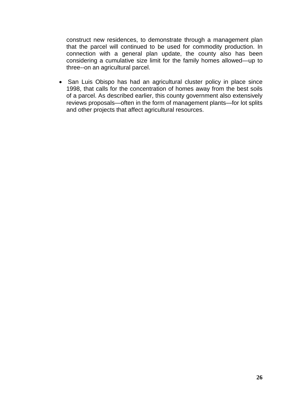construct new residences, to demonstrate through a management plan that the parcel will continued to be used for commodity production. In connection with a general plan update, the county also has been considering a cumulative size limit for the family homes allowed—up to three--on an agricultural parcel.

• San Luis Obispo has had an agricultural cluster policy in place since 1998, that calls for the concentration of homes away from the best soils of a parcel. As described earlier, this county government also extensively reviews proposals—often in the form of management plants—for lot splits and other projects that affect agricultural resources.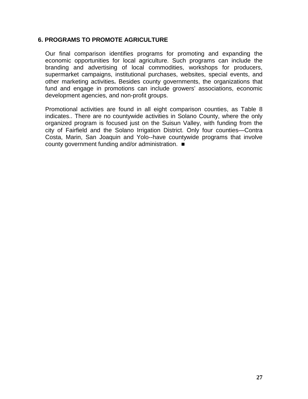#### **6. PROGRAMS TO PROMOTE AGRICULTURE**

<span id="page-28-0"></span>Our final comparison identifies programs for promoting and expanding the economic opportunities for local agriculture. Such programs can include the branding and advertising of local commodities, workshops for producers, supermarket campaigns, institutional purchases, websites, special events, and other marketing activities**.** Besides county governments, the organizations that fund and engage in promotions can include growers' associations, economic development agencies, and non-profit groups.

Promotional activities are found in all eight comparison counties, as Table 8 indicates.. There are no countywide activities in Solano County, where the only organized program is focused just on the Suisun Valley, with funding from the city of Fairfield and the Solano Irrigation District. Only four counties—Contra Costa, Marin, San Joaquin and Yolo--have countywide programs that involve county government funding and/or administration.